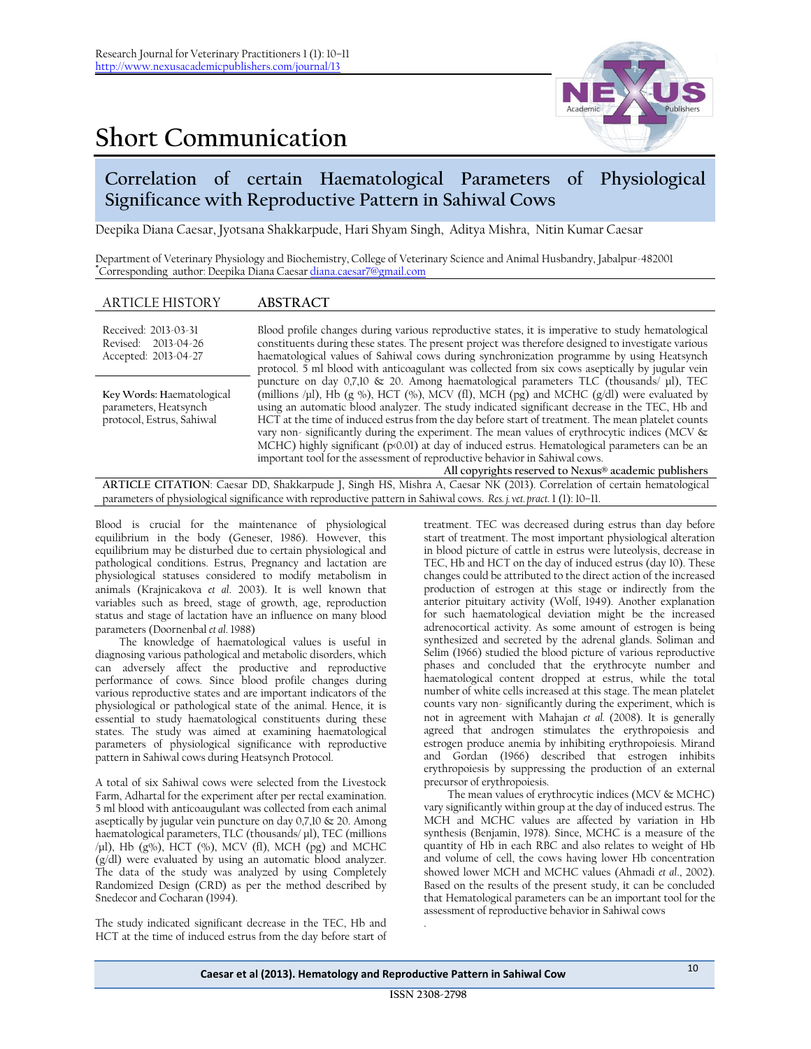## **Short Communication**



## **Correlation of certain Haematological Parameters of Physiological Significance with Reproductive Pattern in Sahiwal Cows**

Deepika Diana Caesar, Jyotsana Shakkarpude, Hari Shyam Singh, Aditya Mishra, Nitin Kumar Caesar

Department of Veterinary Physiology and Biochemistry, College of Veterinary Science and Animal Husbandry, Jabalpur-482001 **\***Corresponding author: Deepika Diana Caesar [diana.caesar7@gmail.com](mailto:diana.caesar7@gmail.com)

| <b>ARTICLE HISTORY</b>                                                                                                | <b>ABSTRACT</b>                                                                                                                                                                                                                                                                                                                                                                                                                                                                                                                                                                                                                                                                                                                                           |  |  |  |  |
|-----------------------------------------------------------------------------------------------------------------------|-----------------------------------------------------------------------------------------------------------------------------------------------------------------------------------------------------------------------------------------------------------------------------------------------------------------------------------------------------------------------------------------------------------------------------------------------------------------------------------------------------------------------------------------------------------------------------------------------------------------------------------------------------------------------------------------------------------------------------------------------------------|--|--|--|--|
| Received: 2013-03-31<br>Revised: 2013-04-26<br>Accepted: 2013-04-27                                                   | Blood profile changes during various reproductive states, it is imperative to study hematological<br>constituents during these states. The present project was therefore designed to investigate various<br>haematological values of Sahiwal cows during synchronization programme by using Heatsynch<br>protocol. 5 ml blood with anticoagulant was collected from six cows aseptically by jugular vein                                                                                                                                                                                                                                                                                                                                                  |  |  |  |  |
| Key Words: Haematological<br>parameters, Heatsynch<br>protocol, Estrus, Sahiwal                                       | puncture on day $0,7,10 \& 20$ . Among haematological parameters TLC (thousands/ $\mu$ l), TEC<br>(millions /µl), Hb (g %), HCT (%), MCV (fl), MCH (pg) and MCHC (g/dl) were evaluated by<br>using an automatic blood analyzer. The study indicated significant decrease in the TEC, Hb and<br>HCT at the time of induced estrus from the day before start of treatment. The mean platelet counts<br>vary non-significantly during the experiment. The mean values of erythrocytic indices (MCV &<br>$MCHC$ ) highly significant ( $p \times 0.01$ ) at day of induced estrus. Hematological parameters can be an<br>important tool for the assessment of reproductive behavior in Sahiwal cows.<br>All copyrights reserved to Nexus® academic publishers |  |  |  |  |
| ARTICLE CITATION: Caesar DD. Shakkarpude L Singh HS. Mishra A. Caesar NK (2013). Correlation of certain hematological |                                                                                                                                                                                                                                                                                                                                                                                                                                                                                                                                                                                                                                                                                                                                                           |  |  |  |  |

**ARTICLE CITATION**: Caesar DD, Shakkarpude J, Singh HS, Mishra A, Caesar NK (2013). Correlation of certain hematological parameters of physiological significance with reproductive pattern in Sahiwal cows. *Res. j. vet. pract.* 1 (1): 10–11.

Blood is crucial for the maintenance of physiological equilibrium in the body (Geneser, 1986). However, this equilibrium may be disturbed due to certain physiological and pathological conditions. Estrus, Pregnancy and lactation are physiological statuses considered to modify metabolism in animals (Krajnicakova *et al*. 2003). It is well known that variables such as breed, stage of growth, age, reproduction status and stage of lactation have an influence on many blood parameters (Doornenbal *et al*. 1988)

The knowledge of haematological values is useful in diagnosing various pathological and metabolic disorders, which can adversely affect the productive and reproductive performance of cows. Since blood profile changes during various reproductive states and are important indicators of the physiological or pathological state of the animal. Hence, it is essential to study haematological constituents during these states. The study was aimed at examining haematological parameters of physiological significance with reproductive pattern in Sahiwal cows during Heatsynch Protocol.

A total of six Sahiwal cows were selected from the Livestock Farm, Adhartal for the experiment after per rectal examination. 5 ml blood with anticoaugulant was collected from each animal aseptically by jugular vein puncture on day 0,7,10 & 20. Among haematological parameters, TLC (thousands/ µl), TEC (millions  $/\mu$ l), Hb (g%), HCT (%), MCV (fl), MCH (pg) and MCHC (g/dl) were evaluated by using an automatic blood analyzer. The data of the study was analyzed by using Completely Randomized Design (CRD) as per the method described by Snedecor and Cocharan (1994).

The study indicated significant decrease in the TEC, Hb and HCT at the time of induced estrus from the day before start of treatment. TEC was decreased during estrus than day before start of treatment. The most important physiological alteration in blood picture of cattle in estrus were luteolysis, decrease in TEC, Hb and HCT on the day of induced estrus (day 10). These changes could be attributed to the direct action of the increased production of estrogen at this stage or indirectly from the anterior pituitary activity (Wolf, 1949). Another explanation for such haematological deviation might be the increased adrenocortical activity. As some amount of estrogen is being synthesized and secreted by the adrenal glands. Soliman and Selim (1966) studied the blood picture of various reproductive phases and concluded that the erythrocyte number and haematological content dropped at estrus, while the total number of white cells increased at this stage. The mean platelet counts vary non- significantly during the experiment, which is not in agreement with Mahajan *et al.* (2008). It is generally agreed that androgen stimulates the erythropoiesis and estrogen produce anemia by inhibiting erythropoiesis. Mirand and Gordan (1966) described that estrogen inhibits erythropoiesis by suppressing the production of an external precursor of erythropoiesis.

The mean values of erythrocytic indices (MCV & MCHC) vary significantly within group at the day of induced estrus. The MCH and MCHC values are affected by variation in Hb synthesis (Benjamin, 1978). Since, MCHC is a measure of the quantity of Hb in each RBC and also relates to weight of Hb and volume of cell, the cows having lower Hb concentration showed lower MCH and MCHC values (Ahmadi *et al*., 2002). Based on the results of the present study, it can be concluded that Hematological parameters can be an important tool for the assessment of reproductive behavior in Sahiwal cows .